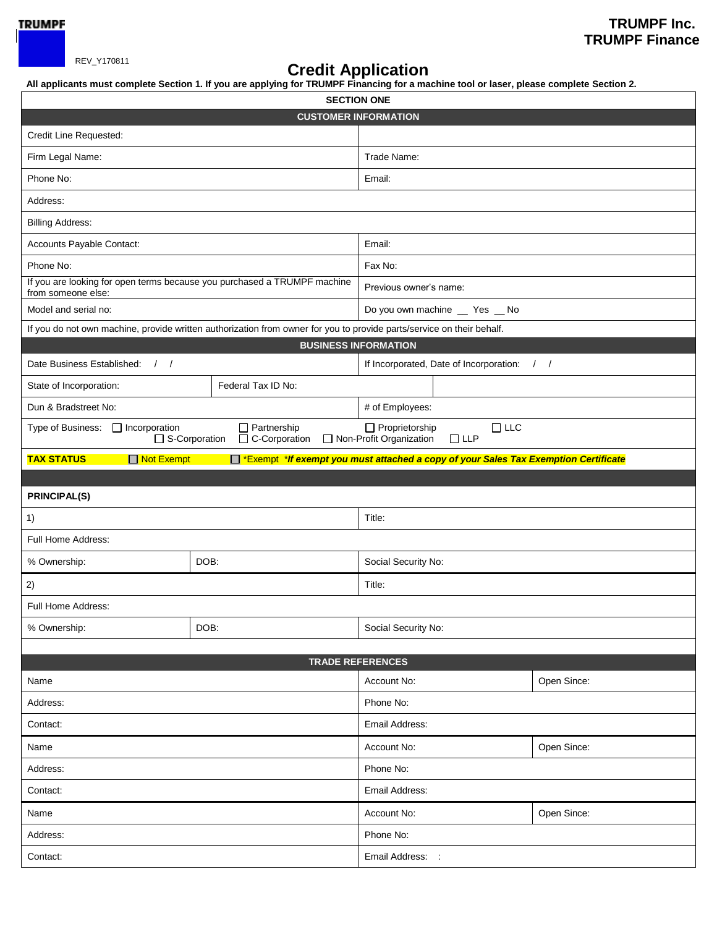

## REV\_Y170811 **Credit Application**

**All applicants must complete Section 1. If you are applying for TRUMPF Financing for a machine tool or laser, please complete Section 2.**

|                                                                                                |                                                                                                                       | <b>SECTION ONE</b>                                                                 |             |  |  |  |
|------------------------------------------------------------------------------------------------|-----------------------------------------------------------------------------------------------------------------------|------------------------------------------------------------------------------------|-------------|--|--|--|
| <b>CUSTOMER INFORMATION</b>                                                                    |                                                                                                                       |                                                                                    |             |  |  |  |
| Credit Line Requested:                                                                         |                                                                                                                       |                                                                                    |             |  |  |  |
| Firm Legal Name:                                                                               |                                                                                                                       | Trade Name:                                                                        |             |  |  |  |
| Phone No:                                                                                      |                                                                                                                       | Email:                                                                             |             |  |  |  |
| Address:                                                                                       |                                                                                                                       |                                                                                    |             |  |  |  |
| <b>Billing Address:</b>                                                                        |                                                                                                                       |                                                                                    |             |  |  |  |
| Accounts Payable Contact:                                                                      |                                                                                                                       | Email:                                                                             |             |  |  |  |
| Phone No:                                                                                      |                                                                                                                       | Fax No:                                                                            |             |  |  |  |
| If you are looking for open terms because you purchased a TRUMPF machine<br>from someone else: |                                                                                                                       | Previous owner's name:                                                             |             |  |  |  |
| Model and serial no:                                                                           |                                                                                                                       | Do you own machine _ Yes _ No                                                      |             |  |  |  |
|                                                                                                | If you do not own machine, provide written authorization from owner for you to provide parts/service on their behalf. |                                                                                    |             |  |  |  |
|                                                                                                |                                                                                                                       | <b>BUSINESS INFORMATION</b>                                                        |             |  |  |  |
| Date Business Established: / /                                                                 |                                                                                                                       | If Incorporated, Date of Incorporation: / /                                        |             |  |  |  |
| State of Incorporation:                                                                        | Federal Tax ID No:                                                                                                    |                                                                                    |             |  |  |  |
| Dun & Bradstreet No:                                                                           |                                                                                                                       | # of Employees:                                                                    |             |  |  |  |
| Type of Business:<br>$\Box$ Incorporation                                                      | Partnership<br>□ S-Corporation<br>C-Corporation                                                                       | $\Box$ Proprietorship<br>$\Box$ LLC<br>Non-Profit Organization<br>$\Box$ LLP       |             |  |  |  |
| □ Not Exempt<br><b>TAX STATUS</b>                                                              |                                                                                                                       | Exempt *If exempt you must attached a copy of your Sales Tax Exemption Certificate |             |  |  |  |
|                                                                                                |                                                                                                                       |                                                                                    |             |  |  |  |
|                                                                                                |                                                                                                                       |                                                                                    |             |  |  |  |
| <b>PRINCIPAL(S)</b>                                                                            |                                                                                                                       |                                                                                    |             |  |  |  |
| 1)                                                                                             |                                                                                                                       | Title:                                                                             |             |  |  |  |
| Full Home Address:                                                                             |                                                                                                                       |                                                                                    |             |  |  |  |
| % Ownership:                                                                                   | DOB:                                                                                                                  | Social Security No:                                                                |             |  |  |  |
| 2)                                                                                             |                                                                                                                       | Title:                                                                             |             |  |  |  |
| Full Home Address:                                                                             |                                                                                                                       |                                                                                    |             |  |  |  |
| % Ownership:                                                                                   | DOB:                                                                                                                  | Social Security No:                                                                |             |  |  |  |
|                                                                                                |                                                                                                                       |                                                                                    |             |  |  |  |
|                                                                                                |                                                                                                                       | <b>TRADE REFERENCES</b>                                                            |             |  |  |  |
| Name                                                                                           |                                                                                                                       | Account No:                                                                        | Open Since: |  |  |  |
| Address:                                                                                       |                                                                                                                       | Phone No:                                                                          |             |  |  |  |
| Contact:                                                                                       |                                                                                                                       | Email Address:                                                                     |             |  |  |  |
| Name                                                                                           |                                                                                                                       | Account No:                                                                        | Open Since: |  |  |  |
| Address:                                                                                       |                                                                                                                       | Phone No:                                                                          |             |  |  |  |
| Contact:                                                                                       |                                                                                                                       | Email Address:                                                                     |             |  |  |  |
| Name                                                                                           |                                                                                                                       | Account No:                                                                        | Open Since: |  |  |  |
| Address:                                                                                       |                                                                                                                       | Phone No:                                                                          |             |  |  |  |